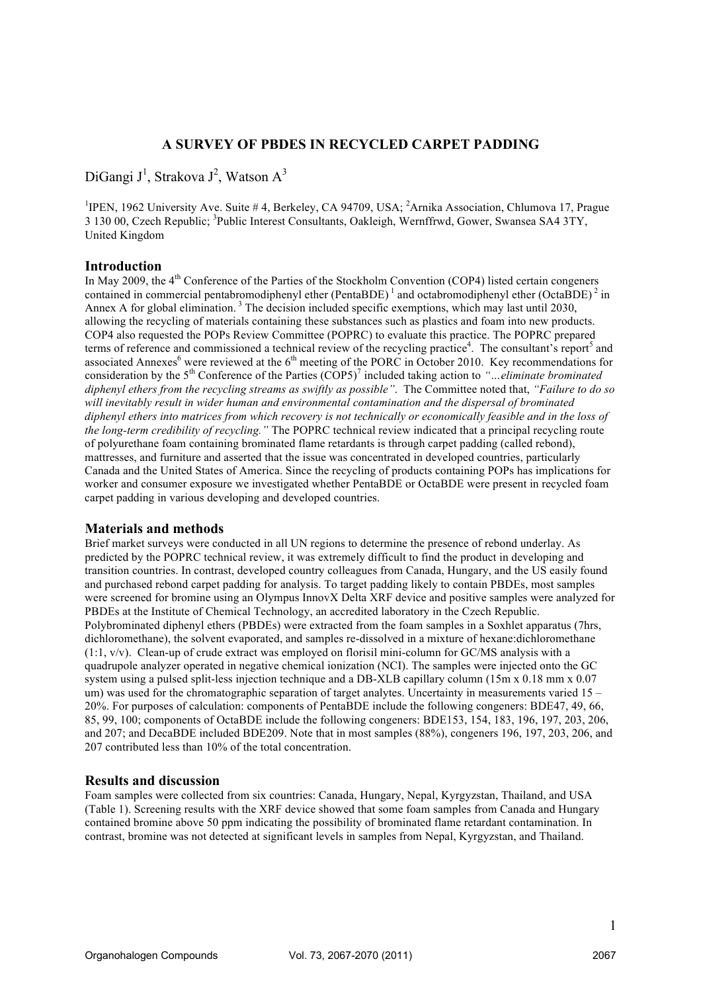# **A SURVEY OF PBDES IN RECYCLED CARPET PADDING**

DiGangi J<sup>1</sup>, Strakova J<sup>2</sup>, Watson A<sup>3</sup>

<sup>1</sup>IPEN, 1962 University Ave. Suite #4, Berkeley, CA 94709, USA; <sup>2</sup>Arnika Association, Chlumova 17, Prague 3 130 00, Czech Republic; <sup>3</sup>Public Interest Consultants, Oakleigh, Wernffrwd, Gower, Swansea SA4 3TY, United Kingdom

## **Introduction**

In May 2009, the  $4<sup>th</sup>$  Conference of the Parties of the Stockholm Convention (COP4) listed certain congeners contained in commercial pentabromodiphenyl ether (PentaBDE)<sup>1</sup> and octabromodiphenyl ether (OctaBDE)<sup>2</sup> in Annex A for global elimination.<sup>3</sup> The decision included specific exemptions, which may last until 2030. allowing the recycling of materials containing these substances such as plastics and foam into new products. COP4 also requested the POPs Review Committee (POPRC) to evaluate this practice. The POPRC prepared terms of reference and commissioned a technical review of the recycling practice<sup>4</sup>. The consultant's report<sup>5</sup> and associated Annexes<sup>6</sup> were reviewed at the  $6<sup>th</sup>$  meeting of the PORC in October 2010. Key recommendations for consideration by the 5<sup>th</sup> Conference of the Parties (COP5)<sup>7</sup> included taking action to "...*eliminate brominated diphenyl ethers from the recycling streams as swiftly as possible"*. The Committee noted that, *"Failure to do so will inevitably result in wider human and environmental contamination and the dispersal of brominated diphenyl ethers into matrices from which recovery is not technically or economically feasible and in the loss of the long-term credibility of recycling."* The POPRC technical review indicated that a principal recycling route of polyurethane foam containing brominated flame retardants is through carpet padding (called rebond), mattresses, and furniture and asserted that the issue was concentrated in developed countries, particularly Canada and the United States of America. Since the recycling of products containing POPs has implications for worker and consumer exposure we investigated whether PentaBDE or OctaBDE were present in recycled foam carpet padding in various developing and developed countries.

## **Materials and methods**

Brief market surveys were conducted in all UN regions to determine the presence of rebond underlay. As predicted by the POPRC technical review, it was extremely difficult to find the product in developing and transition countries. In contrast, developed country colleagues from Canada, Hungary, and the US easily found and purchased rebond carpet padding for analysis. To target padding likely to contain PBDEs, most samples were screened for bromine using an Olympus InnovX Delta XRF device and positive samples were analyzed for PBDEs at the Institute of Chemical Technology, an accredited laboratory in the Czech Republic. Polybrominated diphenyl ethers (PBDEs) were extracted from the foam samples in a Soxhlet apparatus (7hrs, dichloromethane), the solvent evaporated, and samples re-dissolved in a mixture of hexane:dichloromethane (1:1, v/v). Clean-up of crude extract was employed on florisil mini-column for GC/MS analysis with a quadrupole analyzer operated in negative chemical ionization (NCI). The samples were injected onto the GC system using a pulsed split-less injection technique and a DB-XLB capillary column (15m x 0.18 mm x 0.07 um) was used for the chromatographic separation of target analytes. Uncertainty in measurements varied 15 – 20%. For purposes of calculation: components of PentaBDE include the following congeners: BDE47, 49, 66, 85, 99, 100; components of OctaBDE include the following congeners: BDE153, 154, 183, 196, 197, 203, 206, and 207; and DecaBDE included BDE209. Note that in most samples (88%), congeners 196, 197, 203, 206, and 207 contributed less than 10% of the total concentration.

### **Results and discussion**

Foam samples were collected from six countries: Canada, Hungary, Nepal, Kyrgyzstan, Thailand, and USA (Table 1). Screening results with the XRF device showed that some foam samples from Canada and Hungary contained bromine above 50 ppm indicating the possibility of brominated flame retardant contamination. In contrast, bromine was not detected at significant levels in samples from Nepal, Kyrgyzstan, and Thailand.

1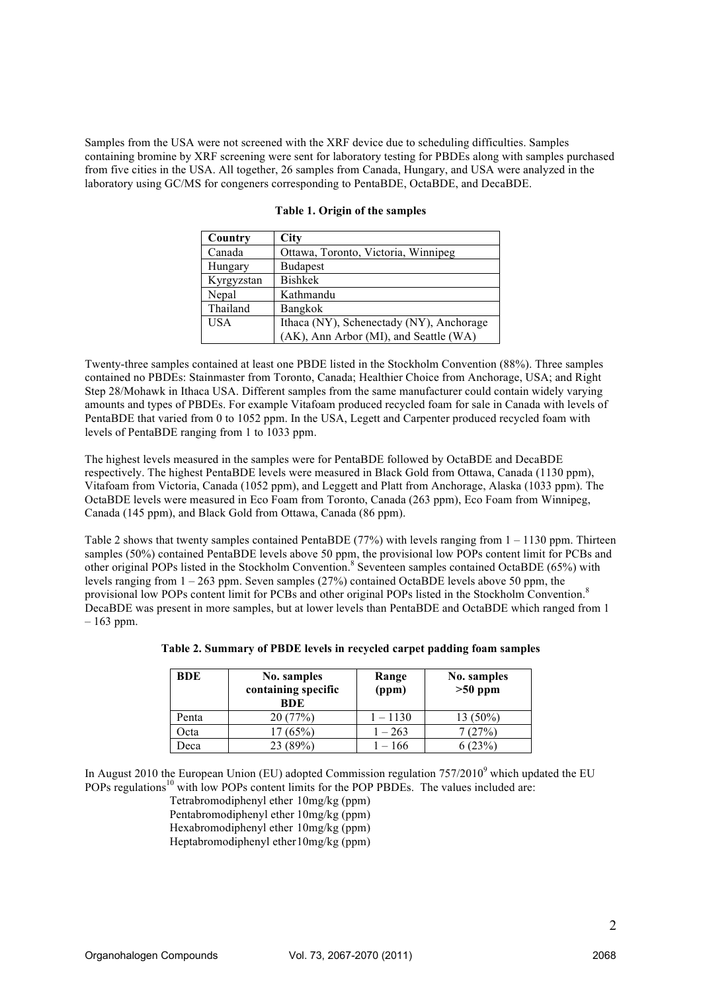Samples from the USA were not screened with the XRF device due to scheduling difficulties. Samples containing bromine by XRF screening were sent for laboratory testing for PBDEs along with samples purchased from five cities in the USA. All together, 26 samples from Canada, Hungary, and USA were analyzed in the laboratory using GC/MS for congeners corresponding to PentaBDE, OctaBDE, and DecaBDE.

| Country    | <b>City</b>                              |
|------------|------------------------------------------|
| Canada     | Ottawa, Toronto, Victoria, Winnipeg      |
| Hungary    | <b>Budapest</b>                          |
| Kyrgyzstan | <b>Bishkek</b>                           |
| Nepal      | Kathmandu                                |
| Thailand   | <b>Bangkok</b>                           |
| <b>USA</b> | Ithaca (NY), Schenectady (NY), Anchorage |
|            | (AK), Ann Arbor (MI), and Seattle (WA)   |

#### **Table 1. Origin of the samples**

Twenty-three samples contained at least one PBDE listed in the Stockholm Convention (88%). Three samples contained no PBDEs: Stainmaster from Toronto, Canada; Healthier Choice from Anchorage, USA; and Right Step 28/Mohawk in Ithaca USA. Different samples from the same manufacturer could contain widely varying amounts and types of PBDEs. For example Vitafoam produced recycled foam for sale in Canada with levels of PentaBDE that varied from 0 to 1052 ppm. In the USA, Legett and Carpenter produced recycled foam with levels of PentaBDE ranging from 1 to 1033 ppm.

The highest levels measured in the samples were for PentaBDE followed by OctaBDE and DecaBDE respectively. The highest PentaBDE levels were measured in Black Gold from Ottawa, Canada (1130 ppm), Vitafoam from Victoria, Canada (1052 ppm), and Leggett and Platt from Anchorage, Alaska (1033 ppm). The OctaBDE levels were measured in Eco Foam from Toronto, Canada (263 ppm), Eco Foam from Winnipeg, Canada (145 ppm), and Black Gold from Ottawa, Canada (86 ppm).

Table 2 shows that twenty samples contained PentaBDE (77%) with levels ranging from  $1 - 1130$  ppm. Thirteen samples (50%) contained PentaBDE levels above 50 ppm, the provisional low POPs content limit for PCBs and other original POPs listed in the Stockholm Convention.<sup>8</sup> Seventeen samples contained OctaBDE (65%) with levels ranging from 1 – 263 ppm. Seven samples (27%) contained OctaBDE levels above 50 ppm, the provisional low POPs content limit for PCBs and other original POPs listed in the Stockholm Convention.<sup>8</sup> DecaBDE was present in more samples, but at lower levels than PentaBDE and OctaBDE which ranged from 1  $-163$  ppm.

| <b>BDE</b> | No. samples<br>containing specific<br><b>BDE</b> | Range<br>(ppm) | No. samples<br>$>50$ ppm |
|------------|--------------------------------------------------|----------------|--------------------------|
| Penta      | 20(77%)                                          | $1 - 1130$     | 13 (50%)                 |
| )cta       | 17(65%)                                          | $1 - 263$      | 7 (27%)                  |
| )eca       | 23 (89%)                                         | $-166$         | $'23\%$ .                |

#### **Table 2. Summary of PBDE levels in recycled carpet padding foam samples**

In August 2010 the European Union (EU) adopted Commission regulation  $757/2010^9$  which updated the EU POPs regulations<sup>10</sup> with low POPs content limits for the POP PBDEs. The values included are:

Tetrabromodiphenyl ether 10mg/kg (ppm) Pentabromodiphenyl ether 10mg/kg (ppm)

Hexabromodiphenyl ether 10mg/kg (ppm)

Heptabromodiphenyl ether10mg/kg (ppm)

2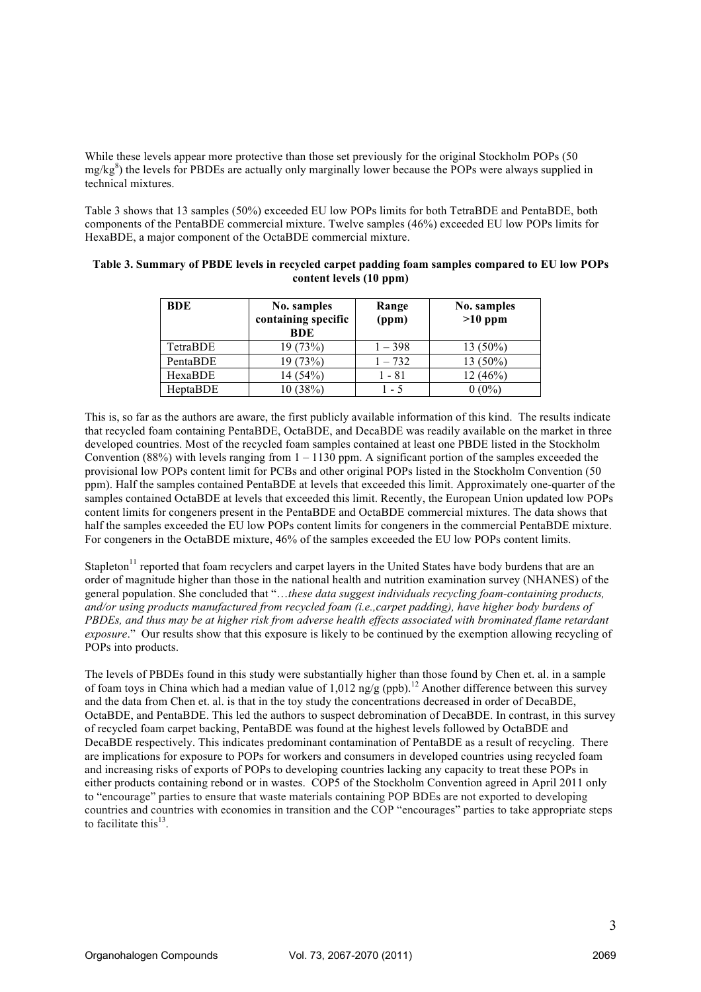While these levels appear more protective than those set previously for the original Stockholm POPs (50 mg/kg<sup>8</sup>) the levels for PBDEs are actually only marginally lower because the POPs were always supplied in technical mixtures.

Table 3 shows that 13 samples (50%) exceeded EU low POPs limits for both TetraBDE and PentaBDE, both components of the PentaBDE commercial mixture. Twelve samples (46%) exceeded EU low POPs limits for HexaBDE, a major component of the OctaBDE commercial mixture.

| <b>BDE</b> | No. samples<br>containing specific<br><b>BDE</b> | Range<br>(ppm) | No. samples<br>$>10$ ppm |
|------------|--------------------------------------------------|----------------|--------------------------|
| TetraBDE   | 19 (73%)                                         | $1 - 398$      | 13 (50%)                 |
| PentaBDE   | 19 (73%)                                         | $1 - 732$      | 13 (50%)                 |
| HexaBDE    | 14 (54%)                                         | 1 - 81         | 12 (46%)                 |
| HeptaBDE   | 10 (38%)                                         | $-5$           | $0(0\%)$                 |

### **Table 3. Summary of PBDE levels in recycled carpet padding foam samples compared to EU low POPs content levels (10 ppm)**

This is, so far as the authors are aware, the first publicly available information of this kind. The results indicate that recycled foam containing PentaBDE, OctaBDE, and DecaBDE was readily available on the market in three developed countries. Most of the recycled foam samples contained at least one PBDE listed in the Stockholm Convention (88%) with levels ranging from  $1 - 1130$  ppm. A significant portion of the samples exceeded the provisional low POPs content limit for PCBs and other original POPs listed in the Stockholm Convention (50 ppm). Half the samples contained PentaBDE at levels that exceeded this limit. Approximately one-quarter of the samples contained OctaBDE at levels that exceeded this limit. Recently, the European Union updated low POPs content limits for congeners present in the PentaBDE and OctaBDE commercial mixtures. The data shows that half the samples exceeded the EU low POPs content limits for congeners in the commercial PentaBDE mixture. For congeners in the OctaBDE mixture, 46% of the samples exceeded the EU low POPs content limits.

Stapleton $11$  reported that foam recyclers and carpet layers in the United States have body burdens that are an order of magnitude higher than those in the national health and nutrition examination survey (NHANES) of the general population. She concluded that "…*these data suggest individuals recycling foam-containing products, and/or using products manufactured from recycled foam (i.e.,carpet padding), have higher body burdens of PBDEs, and thus may be at higher risk from adverse health effects associated with brominated flame retardant exposure*." Our results show that this exposure is likely to be continued by the exemption allowing recycling of POPs into products.

The levels of PBDEs found in this study were substantially higher than those found by Chen et. al. in a sample of foam toys in China which had a median value of  $1,012$  ng/g (ppb).<sup>12</sup> Another difference between this survey and the data from Chen et. al. is that in the toy study the concentrations decreased in order of DecaBDE, OctaBDE, and PentaBDE. This led the authors to suspect debromination of DecaBDE. In contrast, in this survey of recycled foam carpet backing, PentaBDE was found at the highest levels followed by OctaBDE and DecaBDE respectively. This indicates predominant contamination of PentaBDE as a result of recycling. There are implications for exposure to POPs for workers and consumers in developed countries using recycled foam and increasing risks of exports of POPs to developing countries lacking any capacity to treat these POPs in either products containing rebond or in wastes. COP5 of the Stockholm Convention agreed in April 2011 only to "encourage" parties to ensure that waste materials containing POP BDEs are not exported to developing countries and countries with economies in transition and the COP "encourages" parties to take appropriate steps to facilitate this<sup>13</sup>.